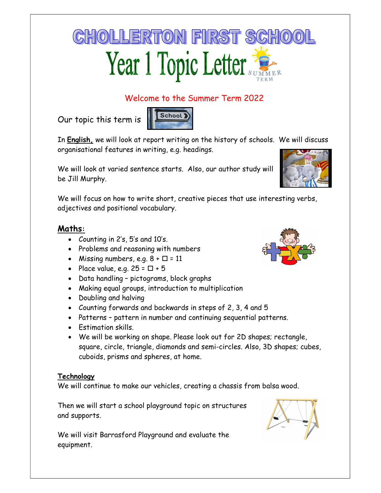# **CHOLLERTON FIRST SCHOO** Year 1 Topic Letter

# Welcome to the Summer Term 2022

Our topic this term is



In **English**, we will look at report writing on the history of schools. We will discuss organisational features in writing, e.g. headings.

We will look at varied sentence starts. Also, our author study will be Jill Murphy.

We will focus on how to write short, creative pieces that use interesting verbs, adjectives and positional vocabulary.

### Maths:

- Counting in 2's, 5's and 10's.
- Problems and reasoning with numbers
- Missing numbers, e.g.  $8 + \square = 11$
- Place value, e.g.  $25 = \square + 5$
- Data handling pictograms, block graphs
- Making equal groups, introduction to multiplication
- Doubling and halving
- Counting forwards and backwards in steps of 2, 3, 4 and 5
- Patterns pattern in number and continuing sequential patterns.
- Fstimation skills
- We will be working on shape. Please look out for 2D shapes; rectangle, square, circle, triangle, diamonds and semi-circles. Also, 3D shapes; cubes, cuboids, prisms and spheres, at home.

#### **Technology**

We will continue to make our vehicles, creating a chassis from balsa wood.

Then we will start a school playground topic on structures and supports.

We will visit Barrasford Playground and evaluate the equipment.